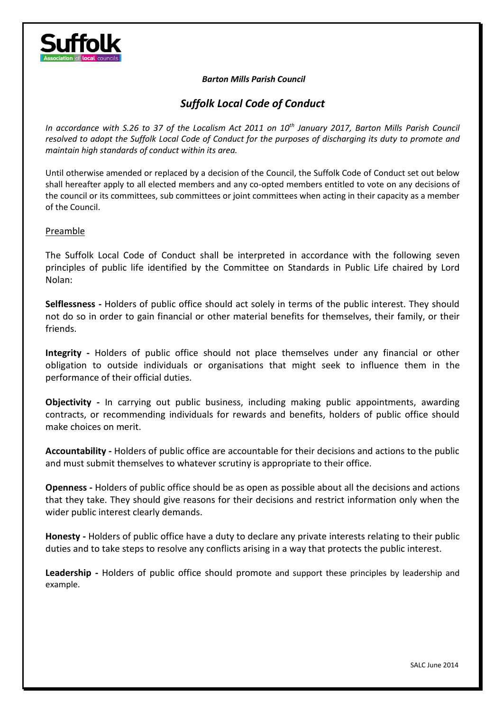

#### *Barton Mills Parish Council*

# *Suffolk Local Code of Conduct*

*In accordance with S.26 to 37 of the Localism Act 2011 on 10th January 2017, Barton Mills Parish Council resolved to adopt the Suffolk Local Code of Conduct for the purposes of discharging its duty to promote and maintain high standards of conduct within its area.*

Until otherwise amended or replaced by a decision of the Council, the Suffolk Code of Conduct set out below shall hereafter apply to all elected members and any co-opted members entitled to vote on any decisions of the council or its committees, sub committees or joint committees when acting in their capacity as a member of the Council.

#### Preamble

The Suffolk Local Code of Conduct shall be interpreted in accordance with the following seven principles of public life identified by the Committee on Standards in Public Life chaired by Lord Nolan:

**Selflessness -** Holders of public office should act solely in terms of the public interest. They should not do so in order to gain financial or other material benefits for themselves, their family, or their friends.

**Integrity -** Holders of public office should not place themselves under any financial or other obligation to outside individuals or organisations that might seek to influence them in the performance of their official duties.

**Objectivity -** In carrying out public business, including making public appointments, awarding contracts, or recommending individuals for rewards and benefits, holders of public office should make choices on merit.

**Accountability -** Holders of public office are accountable for their decisions and actions to the public and must submit themselves to whatever scrutiny is appropriate to their office.

**Openness -** Holders of public office should be as open as possible about all the decisions and actions that they take. They should give reasons for their decisions and restrict information only when the wider public interest clearly demands.

**Honesty -** Holders of public office have a duty to declare any private interests relating to their public duties and to take steps to resolve any conflicts arising in a way that protects the public interest.

**Leadership -** Holders of public office should promote and support these principles by leadership and example.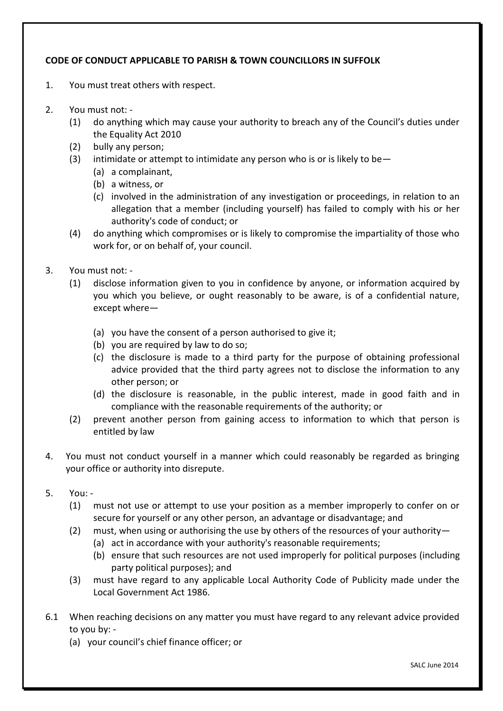## **CODE OF CONDUCT APPLICABLE TO PARISH & TOWN COUNCILLORS IN SUFFOLK**

- 1. You must treat others with respect.
- 2. You must not:
	- (1) do anything which may cause your authority to breach any of the Council's duties under the Equality Act 2010
	- (2) bully any person;
	- (3) intimidate or attempt to intimidate any person who is or is likely to be  $-$ 
		- (a) a complainant,
			- (b) a witness, or
			- (c) involved in the administration of any investigation or proceedings, in relation to an allegation that a member (including yourself) has failed to comply with his or her authority's code of conduct; or
	- (4) do anything which compromises or is likely to compromise the impartiality of those who work for, or on behalf of, your council.
- 3. You must not:
	- (1) disclose information given to you in confidence by anyone, or information acquired by you which you believe, or ought reasonably to be aware, is of a confidential nature, except where—
		- (a) you have the consent of a person authorised to give it;
		- (b) you are required by law to do so;
		- (c) the disclosure is made to a third party for the purpose of obtaining professional advice provided that the third party agrees not to disclose the information to any other person; or
		- (d) the disclosure is reasonable, in the public interest, made in good faith and in compliance with the reasonable requirements of the authority; or
	- (2) prevent another person from gaining access to information to which that person is entitled by law
- 4. You must not conduct yourself in a manner which could reasonably be regarded as bringing your office or authority into disrepute.
- 5. You:
	- (1) must not use or attempt to use your position as a member improperly to confer on or secure for yourself or any other person, an advantage or disadvantage; and
	- (2) must, when using or authorising the use by others of the resources of your authority—
		- (a) act in accordance with your authority's reasonable requirements;
		- (b) ensure that such resources are not used improperly for political purposes (including party political purposes); and
	- (3) must have regard to any applicable Local Authority Code of Publicity made under the Local Government Act 1986.
- 6.1 When reaching decisions on any matter you must have regard to any relevant advice provided to you by: -
	- (a) your council's chief finance officer; or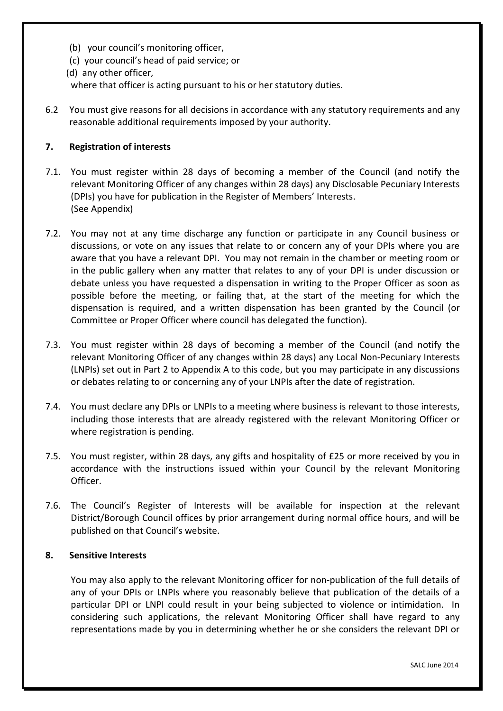- (b) your council's monitoring officer,
- (c) your council's head of paid service; or
- (d) any other officer,

where that officer is acting pursuant to his or her statutory duties.

6.2 You must give reasons for all decisions in accordance with any statutory requirements and any reasonable additional requirements imposed by your authority.

### **7. Registration of interests**

- 7.1. You must register within 28 days of becoming a member of the Council (and notify the relevant Monitoring Officer of any changes within 28 days) any Disclosable Pecuniary Interests (DPIs) you have for publication in the Register of Members' Interests. (See Appendix)
- 7.2. You may not at any time discharge any function or participate in any Council business or discussions, or vote on any issues that relate to or concern any of your DPIs where you are aware that you have a relevant DPI. You may not remain in the chamber or meeting room or in the public gallery when any matter that relates to any of your DPI is under discussion or debate unless you have requested a dispensation in writing to the Proper Officer as soon as possible before the meeting, or failing that, at the start of the meeting for which the dispensation is required, and a written dispensation has been granted by the Council (or Committee or Proper Officer where council has delegated the function).
- 7.3. You must register within 28 days of becoming a member of the Council (and notify the relevant Monitoring Officer of any changes within 28 days) any Local Non-Pecuniary Interests (LNPIs) set out in Part 2 to Appendix A to this code, but you may participate in any discussions or debates relating to or concerning any of your LNPIs after the date of registration.
- 7.4. You must declare any DPIs or LNPIs to a meeting where business is relevant to those interests, including those interests that are already registered with the relevant Monitoring Officer or where registration is pending.
- 7.5. You must register, within 28 days, any gifts and hospitality of £25 or more received by you in accordance with the instructions issued within your Council by the relevant Monitoring Officer.
- 7.6. The Council's Register of Interests will be available for inspection at the relevant District/Borough Council offices by prior arrangement during normal office hours, and will be published on that Council's website.

#### **8. Sensitive Interests**

You may also apply to the relevant Monitoring officer for non-publication of the full details of any of your DPIs or LNPIs where you reasonably believe that publication of the details of a particular DPI or LNPI could result in your being subjected to violence or intimidation. In considering such applications, the relevant Monitoring Officer shall have regard to any representations made by you in determining whether he or she considers the relevant DPI or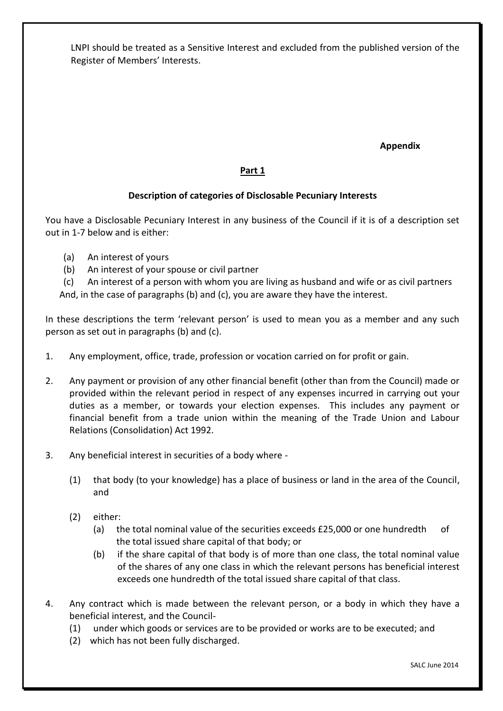LNPI should be treated as a Sensitive Interest and excluded from the published version of the Register of Members' Interests.

**Appendix** 

### **Part 1**

#### **Description of categories of Disclosable Pecuniary Interests**

You have a Disclosable Pecuniary Interest in any business of the Council if it is of a description set out in 1-7 below and is either:

- (a) An interest of yours
- (b) An interest of your spouse or civil partner
- (c) An interest of a person with whom you are living as husband and wife or as civil partners

And, in the case of paragraphs (b) and (c), you are aware they have the interest.

In these descriptions the term 'relevant person' is used to mean you as a member and any such person as set out in paragraphs (b) and (c).

- 1. Any employment, office, trade, profession or vocation carried on for profit or gain.
- 2. Any payment or provision of any other financial benefit (other than from the Council) made or provided within the relevant period in respect of any expenses incurred in carrying out your duties as a member, or towards your election expenses. This includes any payment or financial benefit from a trade union within the meaning of the Trade Union and Labour Relations (Consolidation) Act 1992.
- 3. Any beneficial interest in securities of a body where
	- (1) that body (to your knowledge) has a place of business or land in the area of the Council, and
	- (2) either:
		- (a) the total nominal value of the securities exceeds £25,000 or one hundredth of the total issued share capital of that body; or
		- (b) if the share capital of that body is of more than one class, the total nominal value of the shares of any one class in which the relevant persons has beneficial interest exceeds one hundredth of the total issued share capital of that class.
- 4. Any contract which is made between the relevant person, or a body in which they have a beneficial interest, and the Council-
	- (1) under which goods or services are to be provided or works are to be executed; and
	- (2) which has not been fully discharged.

SALC June 2014